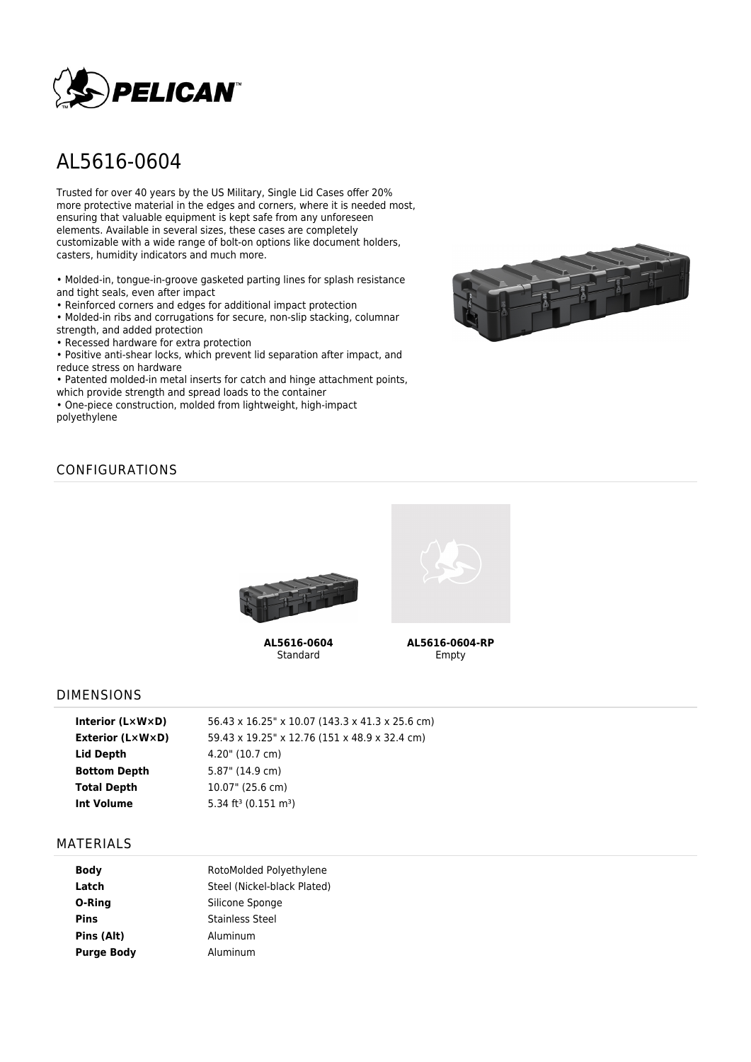

# AL5616-0604

Trusted for over 40 years by the US Military, Single Lid Cases offer 20% more protective material in the edges and corners, where it is needed most, ensuring that valuable equipment is kept safe from any unforeseen elements. Available in several sizes, these cases are completely customizable with a wide range of bolt-on options like document holders, casters, humidity indicators and much more.

• Molded-in, tongue-in-groove gasketed parting lines for splash resistance and tight seals, even after impact

• Reinforced corners and edges for additional impact protection

• Molded-in ribs and corrugations for secure, non-slip stacking, columnar strength, and added protection

• Recessed hardware for extra protection

• Positive anti-shear locks, which prevent lid separation after impact, and reduce stress on hardware

• Patented molded-in metal inserts for catch and hinge attachment points, which provide strength and spread loads to the container

• One-piece construction, molded from lightweight, high-impact polyethylene



## CONFIGURATIONS



**AL5616-0604** Standard



**AL5616-0604-RP** Empty

#### DIMENSIONS

| Interior $(L \times W \times D)$ | 56.43 x 16.25" x 10.07 (143.3 x 41.3 x 25.6 cm) |
|----------------------------------|-------------------------------------------------|
| Exterior (L×W×D)                 | 59.43 x 19.25" x 12.76 (151 x 48.9 x 32.4 cm)   |
| Lid Depth                        | 4.20" (10.7 cm)                                 |
| <b>Bottom Depth</b>              | 5.87" (14.9 cm)                                 |
| <b>Total Depth</b>               | 10.07" (25.6 cm)                                |
| <b>Int Volume</b>                | 5.34 ft <sup>3</sup> (0.151 m <sup>3</sup> )    |
|                                  |                                                 |

#### MATERIALS

| <b>Body</b>       | RotoMolded Polyethylene     |  |  |
|-------------------|-----------------------------|--|--|
| Latch             | Steel (Nickel-black Plated) |  |  |
| O-Ring            | Silicone Sponge             |  |  |
| <b>Pins</b>       | <b>Stainless Steel</b>      |  |  |
| Pins (Alt)        | Aluminum                    |  |  |
| <b>Purge Body</b> | Aluminum                    |  |  |